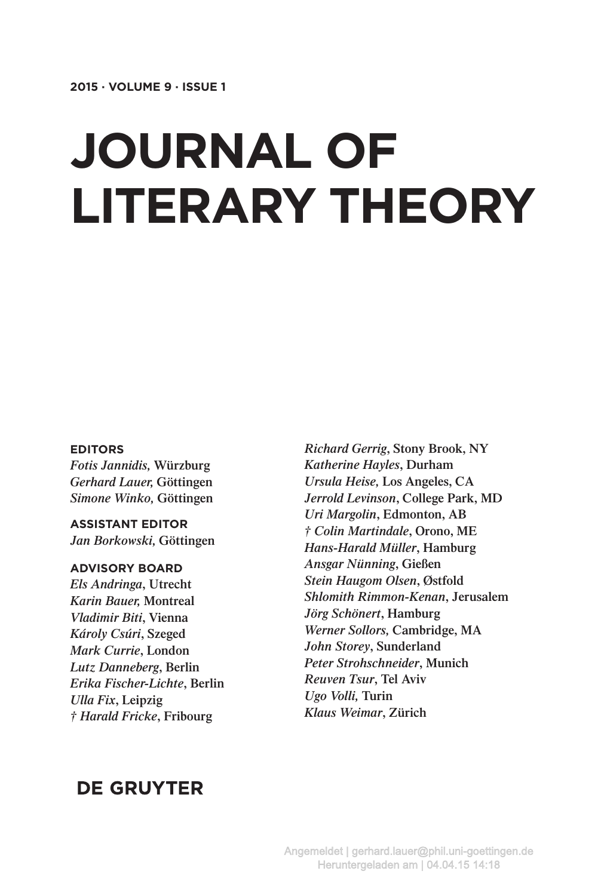# **Journal of Literary Theory**

#### **editors**

*Fotis Jannidis,* **Würzburg** *Gerhard Lauer,* **Göttingen** *Simone Winko,* **Göttingen**

**Assistant editor** *Jan Borkowski,* **Göttingen**

#### **Advisory Board**

*Els Andringa***, Utrecht** *Karin Bauer,* **Montreal** *Vladimir Biti***, Vienna** *Károly Csúri***, Szeged** *Mark Currie***, London** *Lutz Danneberg***, Berlin** *Erika Fischer-Lichte***, Berlin** *Ulla Fix***, Leipzig** *† Harald Fricke***, Fribourg**

*Richard Gerrig***, Stony Brook, NY** *Katherine Hayles***, Durham** *Ursula Heise,* **Los Angeles, CA** *Jerrold Levinson***, College Park, MD** *Uri Margolin***, Edmonton, AB** *† Colin Martindale***, Orono, ME** *Hans-Harald Müller***, Hamburg** *Ansgar Nünning***, Gießen** *Stein Haugom Olsen***, Østfold** *Shlomith Rimmon-Kenan***, Jerusalem** *Jörg Schönert***, Hamburg** *Werner Sollors,* **Cambridge, MA** *John Storey***, Sunderland** *Peter Strohschneider***, Munich** *Reuven Tsur***, Tel Aviv** *Ugo Volli,* **Turin** *Klaus Weimar***, Zürich**

## **DE GRUYTER**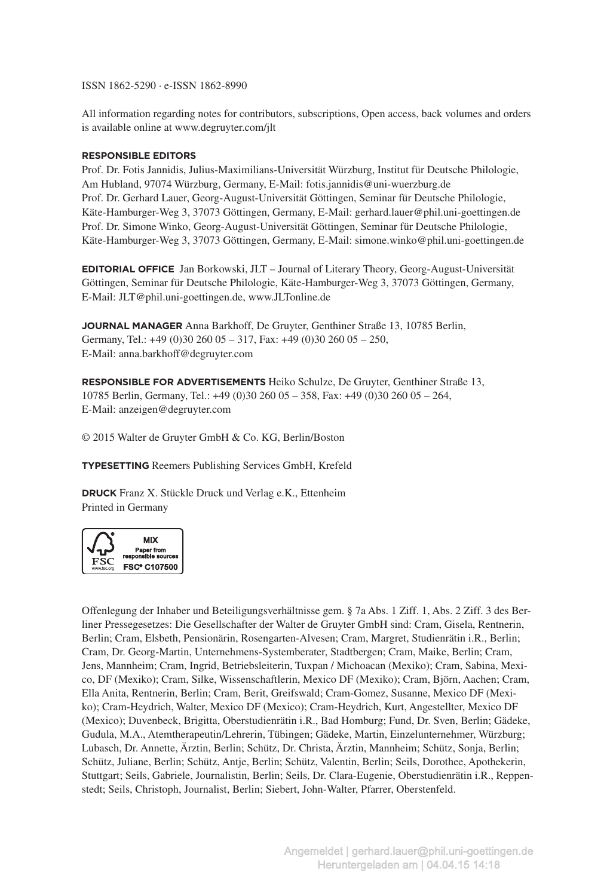ISSN 1862-5290 · e-ISSN 1862-8990

All information regarding notes for contributors, subscriptions, Open access, back volumes and orders is available online at www.degruyter.com/jlt

#### **responsible editors**

Prof. Dr. Fotis Jannidis, Julius-Maximilians-Universität Würzburg, Institut für Deutsche Philologie, Am Hubland, 97074 Würzburg, Germany, E-Mail: fotis.jannidis@uni-wuerzburg.de Prof. Dr. Gerhard Lauer, Georg-August-Universität Göttingen, Seminar für Deutsche Philologie, Käte-Hamburger-Weg 3, 37073 Göttingen, Germany, E-Mail: gerhard.lauer@phil.uni-goettingen.de Prof. Dr. Simone Winko, Georg-August-Universität Göttingen, Seminar für Deutsche Philologie, Käte-Hamburger-Weg 3, 37073 Göttingen, Germany, E-Mail: simone.winko@phil.uni-goettingen.de

**Editorial Office** Jan Borkowski, JLT – Journal of Literary Theory, Georg-August-Universität Göttingen, Seminar für Deutsche Philologie, Käte-Hamburger-Weg 3, 37073 Göttingen, Germany, E-Mail: JLT@phil.uni-goettingen.de, www.JLTonline.de

**Journal Manager** Anna Barkhoff, De Gruyter, Genthiner Straße 13, 10785 Berlin, Germany, Tel.: +49 (0)30 260 05 – 317, Fax: +49 (0)30 260 05 – 250, E-Mail: anna.barkhoff@degruyter.com

**Responsible for advertisements** Heiko Schulze, De Gruyter, Genthiner Straße 13, 10785 Berlin, Germany, Tel.: +49 (0)30 260 05 – 358, Fax: +49 (0)30 260 05 – 264, E-Mail: anzeigen@degruyter.com

© 2015 Walter de Gruyter GmbH & Co. KG, Berlin/Boston

**typesetting** Reemers Publishing Services GmbH, Krefeld

**druck** Franz X. Stückle Druck und Verlag e.K., Ettenheim Printed in Germany



Offenlegung der Inhaber und Beteiligungsverhältnisse gem. § 7a Abs. 1 Ziff. 1, Abs. 2 Ziff. 3 des Berliner Pressegesetzes: Die Gesellschafter der Walter de Gruyter GmbH sind: Cram, Gisela, Rentnerin, Berlin; Cram, Elsbeth, Pensionärin, Rosengarten-Alvesen; Cram, Margret, Studienrätin i.R., Berlin; Cram, Dr. Georg-Martin, Unternehmens-Systemberater, Stadtbergen; Cram, Maike, Berlin; Cram, Jens, Mannheim; Cram, Ingrid, Betriebsleiterin, Tuxpan / Michoacan (Mexiko); Cram, Sabina, Mexico, DF (Mexiko); Cram, Silke, Wissenschaftlerin, Mexico DF (Mexiko); Cram, Björn, Aachen; Cram, Ella Anita, Rentnerin, Berlin; Cram, Berit, Greifswald; Cram-Gomez, Susanne, Mexico DF (Mexiko); Cram-Heydrich, Walter, Mexico DF (Mexico); Cram-Heydrich, Kurt, Angestellter, Mexico DF (Mexico); Duvenbeck, Brigitta, Oberstudienrätin i.R., Bad Homburg; Fund, Dr. Sven, Berlin; Gädeke, Gudula, M.A., Atemtherapeutin/Lehrerin, Tübingen; Gädeke, Martin, Einzelunternehmer, Würzburg; Lubasch, Dr. Annette, Ärztin, Berlin; Schütz, Dr. Christa, Ärztin, Mannheim; Schütz, Sonja, Berlin; Schütz, Juliane, Berlin; Schütz, Antje, Berlin; Schütz, Valentin, Berlin; Seils, Dorothee, Apothekerin, Stuttgart; Seils, Gabriele, Journalistin, Berlin; Seils, Dr. Clara-Eugenie, Oberstudienrätin i.R., Reppenstedt; Seils, Christoph, Journalist, Berlin; Siebert, John-Walter, Pfarrer, Oberstenfeld.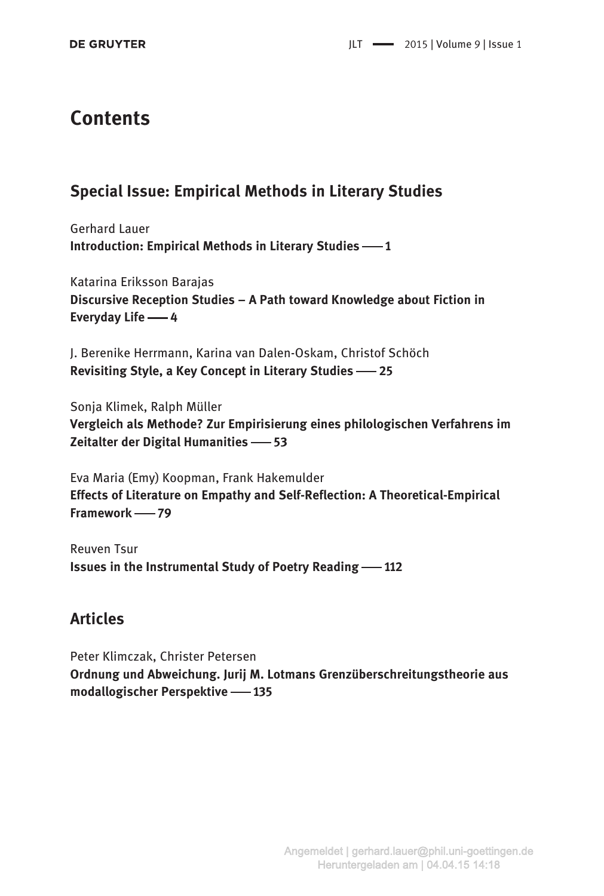# **Contents**

### Special Issue: Empirical Methods in Literary Studies

Gerhard Lauer Introduction: Empirical Methods in Literary Studies -1

Katarina Eriksson Barajas Discursive Reception Studies – A Path toward Knowledge about Fiction in Everyday Life -4

J. Berenike Herrmann, Karina van Dalen-Oskam, Christof Schöch Revisiting Style, a Key Concept in Literary Studies -25

Sonja Klimek, Ralph Müller Vergleich als Methode? Zur Empirisierung eines philologischen Verfahrens im Zeitalter der Digital Humanities -63

Eva Maria (Emy) Koopman, Frank Hakemulder Effects of Literature on Empathy and Self-Reflection: A Theoretical-Empirical Framework - 79

Reuven Tsur Issues in the Instrumental Study of Poetry Reading -112

## **Articles**

Peter Klimczak, Christer Petersen Ordnung und Abweichung. Jurij M. Lotmans Grenzüberschreitungstheorie aus modallogischer Perspektive -135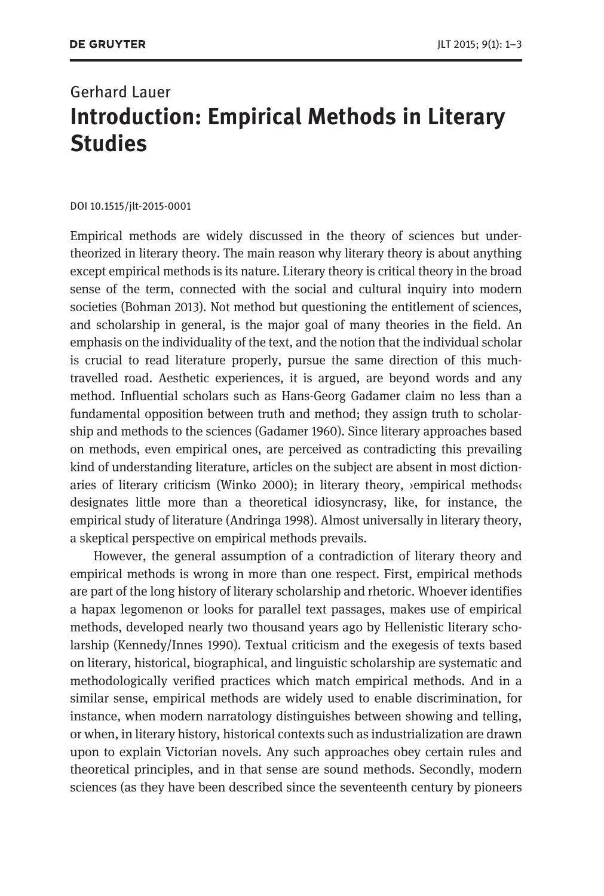# Gerhard Lauer Introduction: Empirical Methods in Literary **Studies**

DOI 10.1515/jlt-2015-0001

Empirical methods are widely discussed in the theory of sciences but undertheorized in literary theory. The main reason why literary theory is about anything except empirical methods is its nature. Literary theory is critical theory in the broad sense of the term, connected with the social and cultural inquiry into modern societies (Bohman 2013). Not method but questioning the entitlement of sciences, and scholarship in general, is the major goal of many theories in the field. An emphasis on the individuality of the text, and the notion that the individual scholar is crucial to read literature properly, pursue the same direction of this muchtravelled road. Aesthetic experiences, it is argued, are beyond words and any method. Influential scholars such as Hans-Georg Gadamer claim no less than a fundamental opposition between truth and method; they assign truth to scholarship and methods to the sciences (Gadamer 1960). Since literary approaches based on methods, even empirical ones, are perceived as contradicting this prevailing kind of understanding literature, articles on the subject are absent in most dictionaries of literary criticism (Winko 2000); in literary theory,  $\gamma$  empirical methods $\gamma$ designates little more than a theoretical idiosyncrasy, like, for instance, the empirical study of literature (Andringa 1998). Almost universally in literary theory, a skeptical perspective on empirical methods prevails.

However, the general assumption of a contradiction of literary theory and empirical methods is wrong in more than one respect. First, empirical methods are part of the long history of literary scholarship and rhetoric. Whoever identifies a hapax legomenon or looks for parallel text passages, makes use of empirical methods, developed nearly two thousand years ago by Hellenistic literary scholarship (Kennedy/Innes 1990). Textual criticism and the exegesis of texts based on literary, historical, biographical, and linguistic scholarship are systematic and methodologically verified practices which match empirical methods. And in a similar sense, empirical methods are widely used to enable discrimination, for instance, when modern narratology distinguishes between showing and telling, or when, in literary history, historical contexts such as industrialization are drawn upon to explain Victorian novels. Any such approaches obey certain rules and theoretical principles, and in that sense are sound methods. Secondly, modern sciences (as they have been described since the seventeenth century by pioneers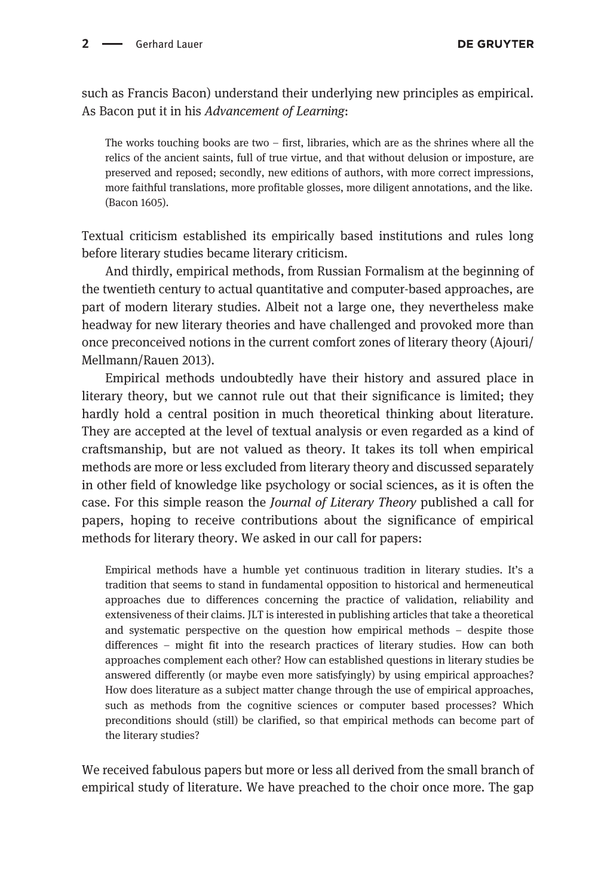such as Francis Bacon) understand their underlying new principles as empirical. As Bacon put it in his Advancement of Learning:

The works touching books are two  $-$  first, libraries, which are as the shrines where all the relics of the ancient saints, full of true virtue, and that without delusion or imposture, are preserved and reposed; secondly, new editions of authors, with more correct impressions, more faithful translations, more profitable glosses, more diligent annotations, and the like. (Bacon 1605).

Textual criticism established its empirically based institutions and rules long before literary studies became literary criticism.

And thirdly, empirical methods, from Russian Formalism at the beginning of the twentieth century to actual quantitative and computer-based approaches, are part of modern literary studies. Albeit not a large one, they nevertheless make headway for new literary theories and have challenged and provoked more than once preconceived notions in the current comfort zones of literary theory (Ajouri/ Mellmann/Rauen 2013).

Empirical methods undoubtedly have their history and assured place in literary theory, but we cannot rule out that their significance is limited; they hardly hold a central position in much theoretical thinking about literature. They are accepted at the level of textual analysis or even regarded as a kind of craftsmanship, but are not valued as theory. It takes its toll when empirical methods are more or less excluded from literary theory and discussed separately in other field of knowledge like psychology or social sciences, as it is often the case. For this simple reason the Journal of Literary Theory published a call for papers, hoping to receive contributions about the significance of empirical methods for literary theory. We asked in our call for papers:

Empirical methods have a humble yet continuous tradition in literary studies. It's a tradition that seems to stand in fundamental opposition to historical and hermeneutical approaches due to differences concerning the practice of validation, reliability and extensiveness of their claims. JLT is interested in publishing articles that take a theoretical and systematic perspective on the question how empirical methods – despite those differences – might fit into the research practices of literary studies. How can both approaches complement each other? How can established questions in literary studies be answered differently (or maybe even more satisfyingly) by using empirical approaches? How does literature as a subject matter change through the use of empirical approaches, such as methods from the cognitive sciences or computer based processes? Which preconditions should (still) be clarified, so that empirical methods can become part of the literary studies?

We received fabulous papers but more or less all derived from the small branch of empirical study of literature. We have preached to the choir once more. The gap